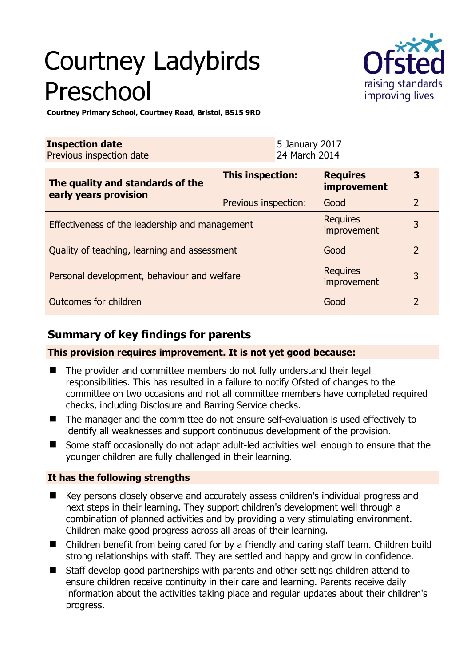# Courtney Ladybirds Preschool



**Courtney Primary School, Courtney Road, Bristol, BS15 9RD** 

| <b>Inspection date</b><br>Previous inspection date        | 5 January 2017<br>24 March 2014 |                                       |                |
|-----------------------------------------------------------|---------------------------------|---------------------------------------|----------------|
| The quality and standards of the<br>early years provision | This inspection:                | <b>Requires</b><br><b>improvement</b> | 3              |
|                                                           | Previous inspection:            | Good                                  | 2              |
| Effectiveness of the leadership and management            |                                 | <b>Requires</b><br>improvement        | 3              |
| Quality of teaching, learning and assessment              |                                 | Good                                  | $\overline{2}$ |
| Personal development, behaviour and welfare               |                                 | <b>Requires</b><br>improvement        | 3              |
| Outcomes for children                                     |                                 | Good                                  | $\overline{2}$ |

# **Summary of key findings for parents**

**This provision requires improvement. It is not yet good because:** 

- The provider and committee members do not fully understand their legal responsibilities. This has resulted in a failure to notify Ofsted of changes to the committee on two occasions and not all committee members have completed required checks, including Disclosure and Barring Service checks.
- The manager and the committee do not ensure self-evaluation is used effectively to identify all weaknesses and support continuous development of the provision.
- Some staff occasionally do not adapt adult-led activities well enough to ensure that the younger children are fully challenged in their learning.

## **It has the following strengths**

- Key persons closely observe and accurately assess children's individual progress and next steps in their learning. They support children's development well through a combination of planned activities and by providing a very stimulating environment. Children make good progress across all areas of their learning.
- Children benefit from being cared for by a friendly and caring staff team. Children build strong relationships with staff. They are settled and happy and grow in confidence.
- Staff develop good partnerships with parents and other settings children attend to ensure children receive continuity in their care and learning. Parents receive daily information about the activities taking place and regular updates about their children's progress.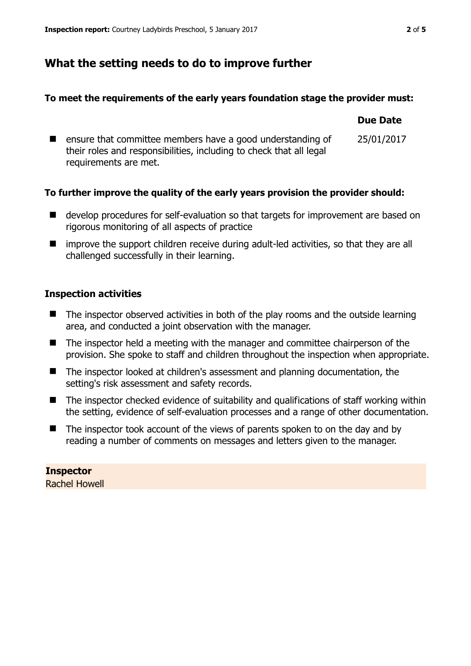## **What the setting needs to do to improve further**

#### **To meet the requirements of the early years foundation stage the provider must:**

|                                                                                                                                                            | <b>Due Date</b> |
|------------------------------------------------------------------------------------------------------------------------------------------------------------|-----------------|
| ensure that committee members have a good understanding of<br>their roles and responsibilities, including to check that all legal<br>requirements are met. | 25/01/2017      |

## **To further improve the quality of the early years provision the provider should:**

- develop procedures for self-evaluation so that targets for improvement are based on rigorous monitoring of all aspects of practice
- improve the support children receive during adult-led activities, so that they are all challenged successfully in their learning.

## **Inspection activities**

- $\blacksquare$  The inspector observed activities in both of the play rooms and the outside learning area, and conducted a joint observation with the manager.
- The inspector held a meeting with the manager and committee chairperson of the provision. She spoke to staff and children throughout the inspection when appropriate.
- The inspector looked at children's assessment and planning documentation, the setting's risk assessment and safety records.
- The inspector checked evidence of suitability and qualifications of staff working within the setting, evidence of self-evaluation processes and a range of other documentation.
- $\blacksquare$  The inspector took account of the views of parents spoken to on the day and by reading a number of comments on messages and letters given to the manager.

**Inspector**  Rachel Howell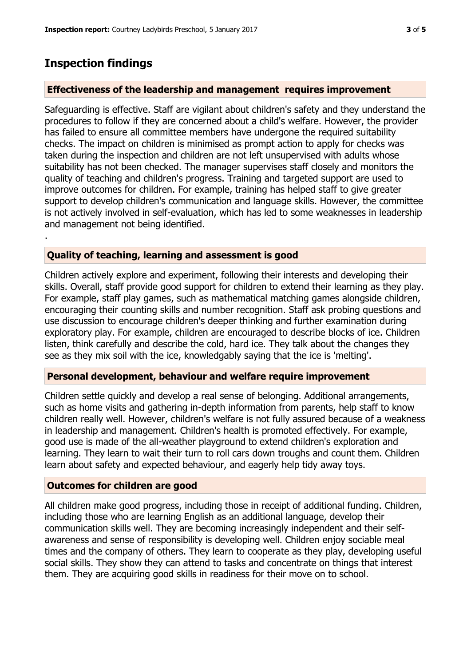## **Inspection findings**

.

## **Effectiveness of the leadership and management requires improvement**

Safeguarding is effective. Staff are vigilant about children's safety and they understand the procedures to follow if they are concerned about a child's welfare. However, the provider has failed to ensure all committee members have undergone the required suitability checks. The impact on children is minimised as prompt action to apply for checks was taken during the inspection and children are not left unsupervised with adults whose suitability has not been checked. The manager supervises staff closely and monitors the quality of teaching and children's progress. Training and targeted support are used to improve outcomes for children. For example, training has helped staff to give greater support to develop children's communication and language skills. However, the committee is not actively involved in self-evaluation, which has led to some weaknesses in leadership and management not being identified.

## **Quality of teaching, learning and assessment is good**

Children actively explore and experiment, following their interests and developing their skills. Overall, staff provide good support for children to extend their learning as they play. For example, staff play games, such as mathematical matching games alongside children, encouraging their counting skills and number recognition. Staff ask probing questions and use discussion to encourage children's deeper thinking and further examination during exploratory play. For example, children are encouraged to describe blocks of ice. Children listen, think carefully and describe the cold, hard ice. They talk about the changes they see as they mix soil with the ice, knowledgably saying that the ice is 'melting'.

#### **Personal development, behaviour and welfare require improvement**

Children settle quickly and develop a real sense of belonging. Additional arrangements, such as home visits and gathering in-depth information from parents, help staff to know children really well. However, children's welfare is not fully assured because of a weakness in leadership and management. Children's health is promoted effectively. For example, good use is made of the all-weather playground to extend children's exploration and learning. They learn to wait their turn to roll cars down troughs and count them. Children learn about safety and expected behaviour, and eagerly help tidy away toys.

## **Outcomes for children are good**

All children make good progress, including those in receipt of additional funding. Children, including those who are learning English as an additional language, develop their communication skills well. They are becoming increasingly independent and their selfawareness and sense of responsibility is developing well. Children enjoy sociable meal times and the company of others. They learn to cooperate as they play, developing useful social skills. They show they can attend to tasks and concentrate on things that interest them. They are acquiring good skills in readiness for their move on to school.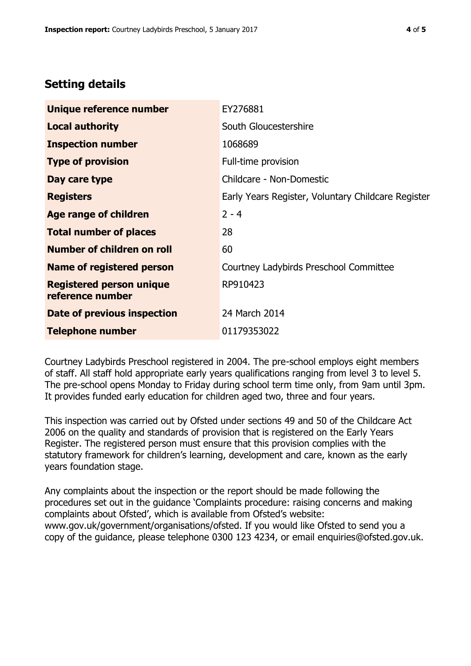# **Setting details**

| Unique reference number                             | EY276881                                           |
|-----------------------------------------------------|----------------------------------------------------|
| <b>Local authority</b>                              | South Gloucestershire                              |
| <b>Inspection number</b>                            | 1068689                                            |
| <b>Type of provision</b>                            | Full-time provision                                |
| Day care type                                       | Childcare - Non-Domestic                           |
| <b>Registers</b>                                    | Early Years Register, Voluntary Childcare Register |
| <b>Age range of children</b>                        | $2 - 4$                                            |
| <b>Total number of places</b>                       | 28                                                 |
| Number of children on roll                          | 60                                                 |
| Name of registered person                           | Courtney Ladybirds Preschool Committee             |
| <b>Registered person unique</b><br>reference number | RP910423                                           |
| Date of previous inspection                         | 24 March 2014                                      |
| <b>Telephone number</b>                             | 01179353022                                        |

Courtney Ladybirds Preschool registered in 2004. The pre-school employs eight members of staff. All staff hold appropriate early years qualifications ranging from level 3 to level 5. The pre-school opens Monday to Friday during school term time only, from 9am until 3pm. It provides funded early education for children aged two, three and four years.

This inspection was carried out by Ofsted under sections 49 and 50 of the Childcare Act 2006 on the quality and standards of provision that is registered on the Early Years Register. The registered person must ensure that this provision complies with the statutory framework for children's learning, development and care, known as the early years foundation stage.

Any complaints about the inspection or the report should be made following the procedures set out in the guidance 'Complaints procedure: raising concerns and making complaints about Ofsted', which is available from Ofsted's website: www.gov.uk/government/organisations/ofsted. If you would like Ofsted to send you a copy of the guidance, please telephone 0300 123 4234, or email enquiries@ofsted.gov.uk.